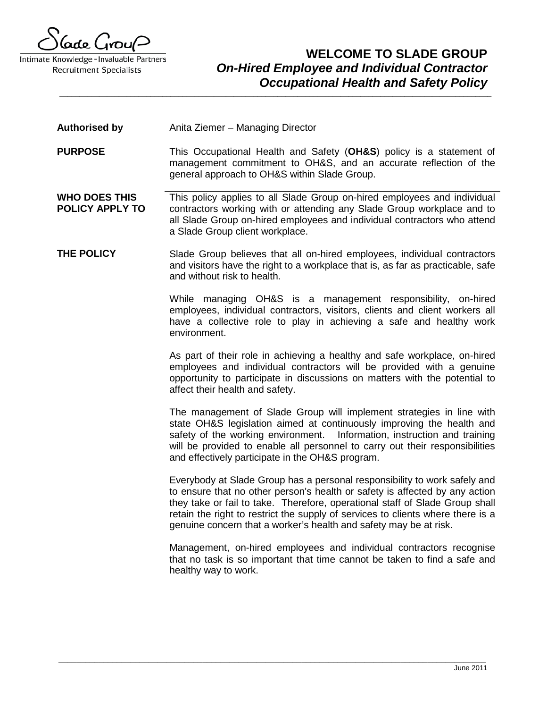

### **WELCOME TO SLADE GROUP** *On-Hired Employee and Individual Contractor Occupational Health and Safety Policy*

- **Authorised by** Anita Ziemer Managing Director
- **PURPOSE** This Occupational Health and Safety (**OH&S**) policy is a statement of management commitment to OH&S, and an accurate reflection of the general approach to OH&S within Slade Group.

**\_\_\_\_\_\_\_\_\_\_\_\_\_\_\_\_\_\_\_\_\_\_\_\_\_\_\_\_\_\_\_\_\_\_\_\_\_\_\_\_\_\_\_\_\_\_\_\_\_\_\_\_\_\_\_\_\_\_\_\_\_\_\_\_\_\_\_\_\_\_\_\_\_\_\_\_\_\_\_\_\_\_\_\_\_\_\_\_\_\_\_\_\_\_\_\_\_\_\_\_\_\_\_\_\_\_\_\_\_**

- **WHO DOES THIS POLICY APPLY TO** This policy applies to all Slade Group on-hired employees and individual contractors working with or attending any Slade Group workplace and to all Slade Group on-hired employees and individual contractors who attend a Slade Group client workplace.
- **THE POLICY** Slade Group believes that all on-hired employees, individual contractors and visitors have the right to a workplace that is, as far as practicable, safe and without risk to health.

While managing OH&S is a management responsibility, on-hired employees, individual contractors, visitors, clients and client workers all have a collective role to play in achieving a safe and healthy work environment.

As part of their role in achieving a healthy and safe workplace, on-hired employees and individual contractors will be provided with a genuine opportunity to participate in discussions on matters with the potential to affect their health and safety.

The management of Slade Group will implement strategies in line with state OH&S legislation aimed at continuously improving the health and safety of the working environment. Information, instruction and training will be provided to enable all personnel to carry out their responsibilities and effectively participate in the OH&S program.

Everybody at Slade Group has a personal responsibility to work safely and to ensure that no other person's health or safety is affected by any action they take or fail to take. Therefore, operational staff of Slade Group shall retain the right to restrict the supply of services to clients where there is a genuine concern that a worker's health and safety may be at risk.

Management, on-hired employees and individual contractors recognise that no task is so important that time cannot be taken to find a safe and healthy way to work.

\_\_\_\_\_\_\_\_\_\_\_\_\_\_\_\_\_\_\_\_\_\_\_\_\_\_\_\_\_\_\_\_\_\_\_\_\_\_\_\_\_\_\_\_\_\_\_\_\_\_\_\_\_\_\_\_\_\_\_\_\_\_\_\_\_\_\_\_\_\_\_\_\_\_\_\_\_\_\_\_\_\_\_\_\_\_\_\_\_\_\_\_\_\_\_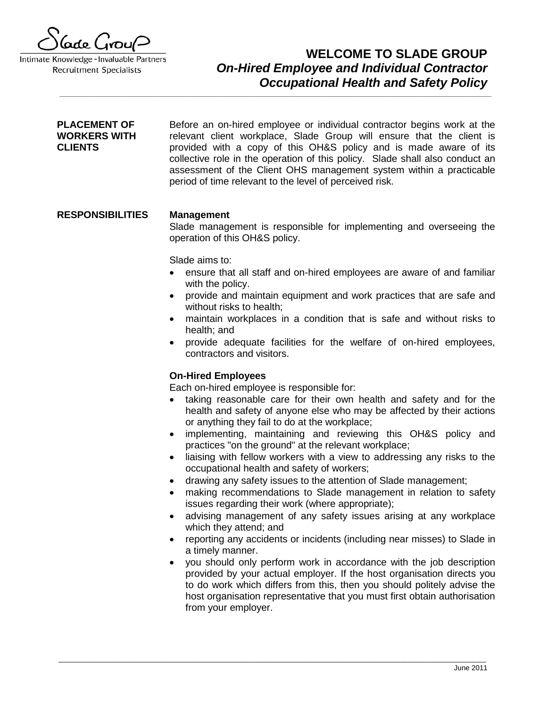

### **WELCOME TO SLADE GROUP** *On-Hired Employee and Individual Contractor Occupational Health and Safety Policy*

**PLACEMENT OF WORKERS WITH CLIENTS** Before an on-hired employee or individual contractor begins work at the relevant client workplace, Slade Group will ensure that the client is provided with a copy of this OH&S policy and is made aware of its collective role in the operation of this policy. Slade shall also conduct an assessment of the Client OHS management system within a practicable period of time relevant to the level of perceived risk.

**\_\_\_\_\_\_\_\_\_\_\_\_\_\_\_\_\_\_\_\_\_\_\_\_\_\_\_\_\_\_\_\_\_\_\_\_\_\_\_\_\_\_\_\_\_\_\_\_\_\_\_\_\_\_\_\_\_\_\_\_\_\_\_\_\_\_\_\_\_\_\_\_\_\_\_\_\_\_\_\_\_\_\_\_\_\_\_\_\_\_\_\_\_\_\_\_\_\_\_\_\_\_\_\_\_\_\_\_\_**

### **RESPONSIBILITIES Management**

Slade management is responsible for implementing and overseeing the operation of this OH&S policy.

Slade aims to:

- ensure that all staff and on-hired employees are aware of and familiar with the policy.
- provide and maintain equipment and work practices that are safe and without risks to health;
- maintain workplaces in a condition that is safe and without risks to health; and
- provide adequate facilities for the welfare of on-hired employees, contractors and visitors.

#### **On-Hired Employees**

Each on-hired employee is responsible for:

\_\_\_\_\_\_\_\_\_\_\_\_\_\_\_\_\_\_\_\_\_\_\_\_\_\_\_\_\_\_\_\_\_\_\_\_\_\_\_\_\_\_\_\_\_\_\_\_\_\_\_\_\_\_\_\_\_\_\_\_\_\_\_\_\_\_\_\_\_\_\_\_\_\_\_\_\_\_\_\_\_\_\_\_\_\_\_\_\_\_\_\_\_\_\_

- taking reasonable care for their own health and safety and for the health and safety of anyone else who may be affected by their actions or anything they fail to do at the workplace;
- implementing, maintaining and reviewing this OH&S policy and practices "on the ground" at the relevant workplace;
- liaising with fellow workers with a view to addressing any risks to the occupational health and safety of workers;
- drawing any safety issues to the attention of Slade management;
- making recommendations to Slade management in relation to safety issues regarding their work (where appropriate);
- advising management of any safety issues arising at any workplace which they attend; and
- reporting any accidents or incidents (including near misses) to Slade in a timely manner.
- you should only perform work in accordance with the job description provided by your actual employer. If the host organisation directs you to do work which differs from this, then you should politely advise the host organisation representative that you must first obtain authorisation from your employer.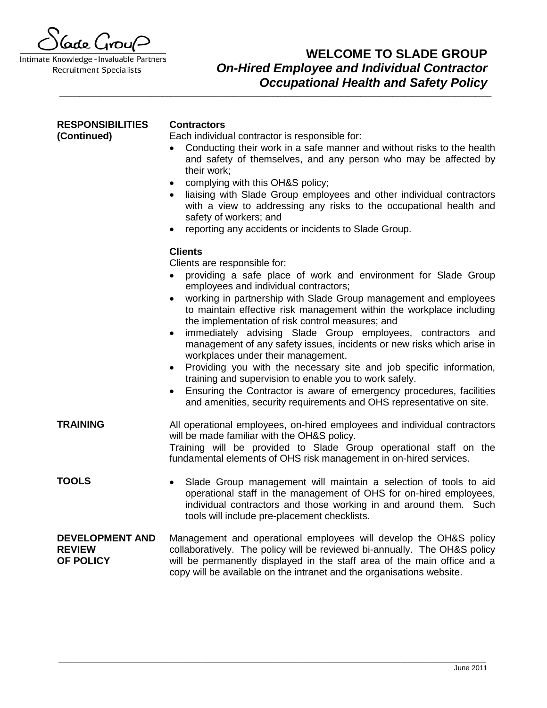Gode Grou<sup>(2</sup>

# **WELCOME TO SLADE GROUP** *On-Hired Employee and Individual Contractor Occupational Health and Safety Policy*

| <b>RESPONSIBILITIES</b><br>(Continued)               | <b>Contractors</b><br>Each individual contractor is responsible for:<br>Conducting their work in a safe manner and without risks to the health<br>$\bullet$<br>and safety of themselves, and any person who may be affected by<br>their work;<br>complying with this OH&S policy;<br>$\bullet$<br>liaising with Slade Group employees and other individual contractors<br>with a view to addressing any risks to the occupational health and<br>safety of workers; and<br>reporting any accidents or incidents to Slade Group.                                                                                                                                                                                                                                                                                                                      |
|------------------------------------------------------|-----------------------------------------------------------------------------------------------------------------------------------------------------------------------------------------------------------------------------------------------------------------------------------------------------------------------------------------------------------------------------------------------------------------------------------------------------------------------------------------------------------------------------------------------------------------------------------------------------------------------------------------------------------------------------------------------------------------------------------------------------------------------------------------------------------------------------------------------------|
|                                                      | <b>Clients</b><br>Clients are responsible for:<br>providing a safe place of work and environment for Slade Group<br>employees and individual contractors;<br>working in partnership with Slade Group management and employees<br>to maintain effective risk management within the workplace including<br>the implementation of risk control measures; and<br>immediately advising Slade Group employees, contractors and<br>$\bullet$<br>management of any safety issues, incidents or new risks which arise in<br>workplaces under their management.<br>Providing you with the necessary site and job specific information,<br>$\bullet$<br>training and supervision to enable you to work safely.<br>Ensuring the Contractor is aware of emergency procedures, facilities<br>and amenities, security requirements and OHS representative on site. |
| <b>TRAINING</b>                                      | All operational employees, on-hired employees and individual contractors<br>will be made familiar with the OH&S policy.<br>Training will be provided to Slade Group operational staff on the<br>fundamental elements of OHS risk management in on-hired services.                                                                                                                                                                                                                                                                                                                                                                                                                                                                                                                                                                                   |
| <b>TOOLS</b>                                         | Slade Group management will maintain a selection of tools to aid<br>$\bullet$<br>operational staff in the management of OHS for on-hired employees,<br>individual contractors and those working in and around them. Such<br>tools will include pre-placement checklists.                                                                                                                                                                                                                                                                                                                                                                                                                                                                                                                                                                            |
| <b>DEVELOPMENT AND</b><br><b>REVIEW</b><br>OF POLICY | Management and operational employees will develop the OH&S policy<br>collaboratively. The policy will be reviewed bi-annually. The OH&S policy<br>will be permanently displayed in the staff area of the main office and a<br>copy will be available on the intranet and the organisations website.                                                                                                                                                                                                                                                                                                                                                                                                                                                                                                                                                 |

\_\_\_\_\_\_\_\_\_\_\_\_\_\_\_\_\_\_\_\_\_\_\_\_\_\_\_\_\_\_\_\_\_\_\_\_\_\_\_\_\_\_\_\_\_\_\_\_\_\_\_\_\_\_\_\_\_\_\_\_\_\_\_\_\_\_\_\_\_\_\_\_\_\_\_\_\_\_\_\_\_\_\_\_\_\_\_\_\_\_\_\_\_\_\_

**\_\_\_\_\_\_\_\_\_\_\_\_\_\_\_\_\_\_\_\_\_\_\_\_\_\_\_\_\_\_\_\_\_\_\_\_\_\_\_\_\_\_\_\_\_\_\_\_\_\_\_\_\_\_\_\_\_\_\_\_\_\_\_\_\_\_\_\_\_\_\_\_\_\_\_\_\_\_\_\_\_\_\_\_\_\_\_\_\_\_\_\_\_\_\_\_\_\_\_\_\_\_\_\_\_\_\_\_\_**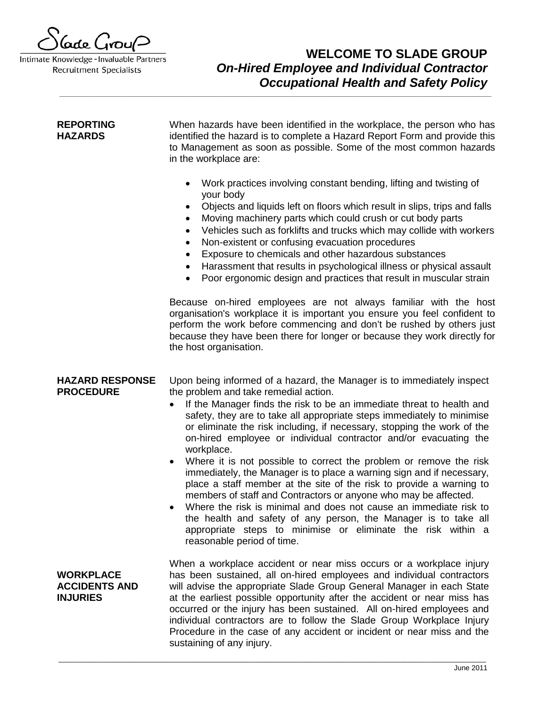

# **WELCOME TO SLADE GROUP** *On-Hired Employee and Individual Contractor Occupational Health and Safety Policy*

| <b>REPORTING</b><br><b>HAZARDS</b>                          | When hazards have been identified in the workplace, the person who has<br>identified the hazard is to complete a Hazard Report Form and provide this<br>to Management as soon as possible. Some of the most common hazards<br>in the workplace are:<br>Work practices involving constant bending, lifting and twisting of<br>$\bullet$<br>your body<br>Objects and liquids left on floors which result in slips, trips and falls<br>٠<br>Moving machinery parts which could crush or cut body parts<br>٠<br>Vehicles such as forklifts and trucks which may collide with workers<br>$\bullet$<br>Non-existent or confusing evacuation procedures<br>$\bullet$<br>Exposure to chemicals and other hazardous substances<br>$\bullet$<br>Harassment that results in psychological illness or physical assault<br>$\bullet$<br>Poor ergonomic design and practices that result in muscular strain<br>$\bullet$                                                                   |
|-------------------------------------------------------------|------------------------------------------------------------------------------------------------------------------------------------------------------------------------------------------------------------------------------------------------------------------------------------------------------------------------------------------------------------------------------------------------------------------------------------------------------------------------------------------------------------------------------------------------------------------------------------------------------------------------------------------------------------------------------------------------------------------------------------------------------------------------------------------------------------------------------------------------------------------------------------------------------------------------------------------------------------------------------|
|                                                             | Because on-hired employees are not always familiar with the host<br>organisation's workplace it is important you ensure you feel confident to<br>perform the work before commencing and don't be rushed by others just<br>because they have been there for longer or because they work directly for<br>the host organisation.                                                                                                                                                                                                                                                                                                                                                                                                                                                                                                                                                                                                                                                |
| <b>HAZARD RESPONSE</b><br><b>PROCEDURE</b>                  | Upon being informed of a hazard, the Manager is to immediately inspect<br>the problem and take remedial action.<br>If the Manager finds the risk to be an immediate threat to health and<br>safety, they are to take all appropriate steps immediately to minimise<br>or eliminate the risk including, if necessary, stopping the work of the<br>on-hired employee or individual contractor and/or evacuating the<br>workplace.<br>Where it is not possible to correct the problem or remove the risk<br>$\bullet$<br>immediately, the Manager is to place a warning sign and if necessary,<br>place a staff member at the site of the risk to provide a warning to<br>members of staff and Contractors or anyone who may be affected.<br>Where the risk is minimal and does not cause an immediate risk to<br>the health and safety of any person, the Manager is to take all<br>appropriate steps to minimise or eliminate the risk within a<br>reasonable period of time. |
| <b>WORKPLACE</b><br><b>ACCIDENTS AND</b><br><b>INJURIES</b> | When a workplace accident or near miss occurs or a workplace injury<br>has been sustained, all on-hired employees and individual contractors<br>will advise the appropriate Slade Group General Manager in each State<br>at the earliest possible opportunity after the accident or near miss has<br>occurred or the injury has been sustained. All on-hired employees and<br>individual contractors are to follow the Slade Group Workplace Injury<br>Procedure in the case of any accident or incident or near miss and the<br>sustaining of any injury.                                                                                                                                                                                                                                                                                                                                                                                                                   |

\_\_\_\_\_\_\_\_\_\_\_\_\_\_\_\_\_\_\_\_\_\_\_\_\_\_\_\_\_\_\_\_\_\_\_\_\_\_\_\_\_\_\_\_\_\_\_\_\_\_\_\_\_\_\_\_\_\_\_\_\_\_\_\_\_\_\_\_\_\_\_\_\_\_\_\_\_\_\_\_\_\_\_\_\_\_\_\_\_\_\_\_\_\_\_

**\_\_\_\_\_\_\_\_\_\_\_\_\_\_\_\_\_\_\_\_\_\_\_\_\_\_\_\_\_\_\_\_\_\_\_\_\_\_\_\_\_\_\_\_\_\_\_\_\_\_\_\_\_\_\_\_\_\_\_\_\_\_\_\_\_\_\_\_\_\_\_\_\_\_\_\_\_\_\_\_\_\_\_\_\_\_\_\_\_\_\_\_\_\_\_\_\_\_\_\_\_\_\_\_\_\_\_\_\_**